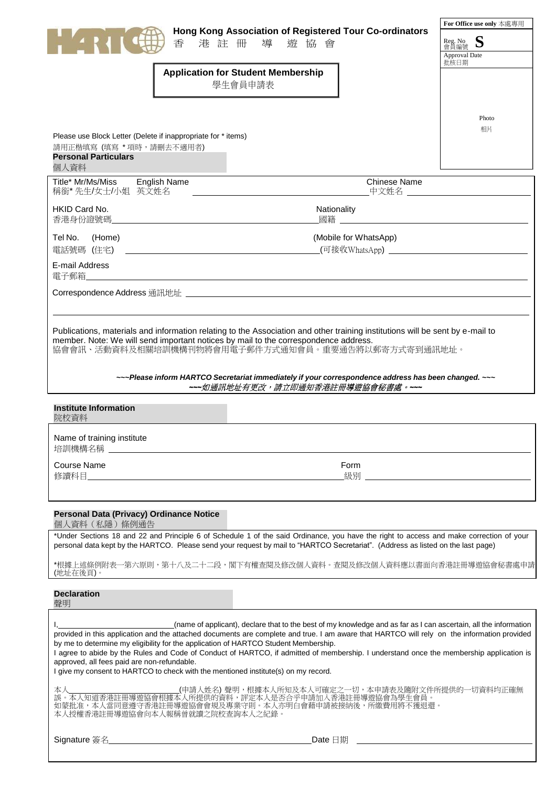| Hong Kong Association of Registered Tour Co-ordinators<br>香<br>港註冊<br>導<br>遊 協 會<br><b>Application for Student Membership</b><br>學生會員申請表                                                                                                                                                                                                                                                                                                                                                                                                                                                                                               | For Office use only 本處專用<br>S<br>Reg. No<br>會員編號<br><b>Approval Date</b><br>批核日期<br>Photo<br>相片 |  |  |
|----------------------------------------------------------------------------------------------------------------------------------------------------------------------------------------------------------------------------------------------------------------------------------------------------------------------------------------------------------------------------------------------------------------------------------------------------------------------------------------------------------------------------------------------------------------------------------------------------------------------------------------|-------------------------------------------------------------------------------------------------|--|--|
| Please use Block Letter (Delete if inappropriate for * items)<br>請用正楷填寫 (填寫 * 項時,請刪去不適用者)<br><b>Personal Particulars</b><br>個人資料                                                                                                                                                                                                                                                                                                                                                                                                                                                                                                       |                                                                                                 |  |  |
| <b>Chinese Name</b><br>Title* Mr/Ms/Miss English Name<br>稱銜*先生/女士/小姐 英文姓名<br>_中文姓名 _____________                                                                                                                                                                                                                                                                                                                                                                                                                                                                                                                                       |                                                                                                 |  |  |
| HKID Card No.<br>Nationality<br>香港身份證號碼                                                                                                                                                                                                                                                                                                                                                                                                                                                                                                                                                                                                |                                                                                                 |  |  |
| (Mobile for WhatsApp)<br>Tel No.<br>(Home)<br>電話號碼 (住宅)<br><u> 1980 - Andrea Stadt Britain, amerikansk politik (</u>                                                                                                                                                                                                                                                                                                                                                                                                                                                                                                                   |                                                                                                 |  |  |
| E-mail Address<br>雷子郵箱<br><u> 1980 - Jan James James Jan James James James James James James James James James James James James James Jam</u>                                                                                                                                                                                                                                                                                                                                                                                                                                                                                         |                                                                                                 |  |  |
|                                                                                                                                                                                                                                                                                                                                                                                                                                                                                                                                                                                                                                        |                                                                                                 |  |  |
| Publications, materials and information relating to the Association and other training institutions will be sent by e-mail to<br>member. Note: We will send important notices by mail to the correspondence address.<br>協會會訊、活動資料及相關培訓機構刊物將會用電子郵件方式通知會員。重要通告將以郵寄方式寄到通訊地址。                                                                                                                                                                                                                                                                                                                                                              |                                                                                                 |  |  |
| ~~~ Please inform HARTCO Secretariat immediately if your correspondence address has been changed. ~~~<br>---如通訊地址有更改,請立即通知香港註冊導遊協會秘書處。---                                                                                                                                                                                                                                                                                                                                                                                                                                                                                              |                                                                                                 |  |  |
| <b>Institute Information</b><br>院校資料                                                                                                                                                                                                                                                                                                                                                                                                                                                                                                                                                                                                   |                                                                                                 |  |  |
| Name of training institute<br>培訓機構名稱 ___________                                                                                                                                                                                                                                                                                                                                                                                                                                                                                                                                                                                       |                                                                                                 |  |  |
| <b>Course Name</b><br>Form                                                                                                                                                                                                                                                                                                                                                                                                                                                                                                                                                                                                             |                                                                                                 |  |  |
|                                                                                                                                                                                                                                                                                                                                                                                                                                                                                                                                                                                                                                        |                                                                                                 |  |  |
| Personal Data (Privacy) Ordinance Notice<br>個人資料(私隱)條例通告<br>*Under Sections 18 and 22 and Principle 6 of Schedule 1 of the said Ordinance, you have the right to access and make correction of your                                                                                                                                                                                                                                                                                                                                                                                                                                    |                                                                                                 |  |  |
| personal data kept by the HARTCO. Please send your request by mail to "HARTCO Secretariat". (Address as listed on the last page)                                                                                                                                                                                                                                                                                                                                                                                                                                                                                                       |                                                                                                 |  |  |
| *根據上述條例附表一第六原則,第十八及二十二段,閣下有權查閱及修改個人資料。查閱及修改個人資料應以書面向香港註冊導遊協會秘書處申請<br>(地址在後頁)。                                                                                                                                                                                                                                                                                                                                                                                                                                                                                                                                                          |                                                                                                 |  |  |
| <b>Declaration</b><br>聲明                                                                                                                                                                                                                                                                                                                                                                                                                                                                                                                                                                                                               |                                                                                                 |  |  |
| (name of applicant), declare that to the best of my knowledge and as far as I can ascertain, all the information<br>provided in this application and the attached documents are complete and true. I am aware that HARTCO will rely on the information provided<br>by me to determine my eligibility for the application of HARTCO Student Membership.<br>I agree to abide by the Rules and Code of Conduct of HARTCO, if admitted of membership. I understand once the membership application is<br>approved, all fees paid are non-refundable.<br>I give my consent to HARTCO to check with the mentioned institute(s) on my record. |                                                                                                 |  |  |
| (申請人姓名)聲明,根據本人所知及本人可確定之一切,本申請表及隨附文件所提供的一切資料均正確無<br>本人<br>」<br>誤。本人知道香港註冊導遊協會根據本人所提供的資料,評定本人是否合乎申請加入香港註冊導遊協會為學生會員。<br>如蒙批准,本人當同意遵守香港註冊導遊協會會規及專業守則。本人亦明白會藉申請被接納後,所繳費用將不獲退還。<br>本人授權香港註冊導遊協會向本人報稱曾就讀之院校查詢本人之紀錄。                                                                                                                                                                                                                                                                                                                                                                                                                           |                                                                                                 |  |  |
|                                                                                                                                                                                                                                                                                                                                                                                                                                                                                                                                                                                                                                        |                                                                                                 |  |  |